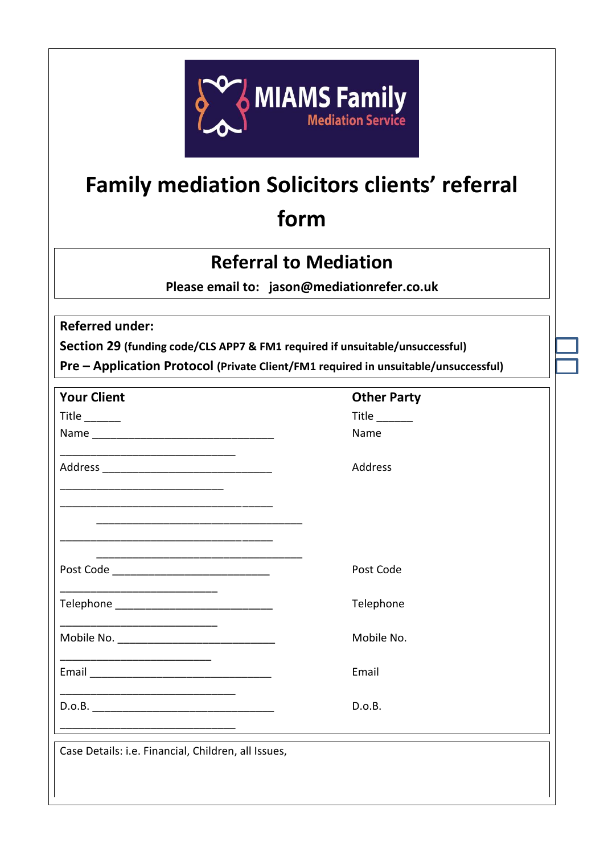

## **Family mediation Solicitors clients' referral form**

## **Referral to Mediation**

**Please email to: jason@mediationrefer.co.uk** 

**Referred under:** 

**Section 29 (funding code/CLS APP7 & FM1 required if unsuitable/unsuccessful)** 

**Pre – Application Protocol (Private Client/FM1 required in unsuitable/unsuccessful)** 

| <b>Your Client</b>                                                                                                     | <b>Other Party</b> |
|------------------------------------------------------------------------------------------------------------------------|--------------------|
| Title $\_\_\_\_\_\_\_\_\$                                                                                              | Title $\_\_$       |
|                                                                                                                        | Name               |
|                                                                                                                        | Address            |
|                                                                                                                        |                    |
|                                                                                                                        |                    |
| Post Code __________________________________                                                                           | Post Code          |
| Telephone _________________________________                                                                            | Telephone          |
|                                                                                                                        | Mobile No.         |
|                                                                                                                        | Email              |
| <u> 1980 - Jan James James Jan James James James James James James James James James James James James James James</u> | D.o.B.             |
|                                                                                                                        |                    |
| Case Details: i.e. Financial, Children, all Issues,                                                                    |                    |
|                                                                                                                        |                    |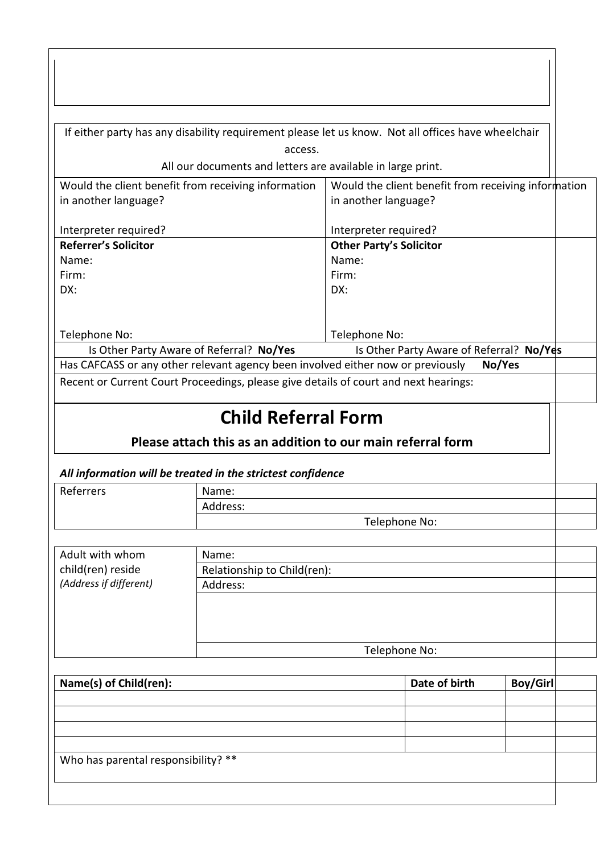|                                     |                                                             | If either party has any disability requirement please let us know. Not all offices have wheelchair |                 |
|-------------------------------------|-------------------------------------------------------------|----------------------------------------------------------------------------------------------------|-----------------|
|                                     | access.                                                     |                                                                                                    |                 |
|                                     | All our documents and letters are available in large print. |                                                                                                    |                 |
|                                     | Would the client benefit from receiving information         | Would the client benefit from receiving information                                                |                 |
| in another language?                |                                                             | in another language?                                                                               |                 |
| Interpreter required?               |                                                             | Interpreter required?                                                                              |                 |
| <b>Referrer's Solicitor</b>         |                                                             | <b>Other Party's Solicitor</b>                                                                     |                 |
| Name:                               |                                                             | Name:                                                                                              |                 |
| Firm:                               |                                                             | Firm:                                                                                              |                 |
| DX:                                 |                                                             | DX:                                                                                                |                 |
|                                     |                                                             |                                                                                                    |                 |
|                                     |                                                             |                                                                                                    |                 |
| Telephone No:                       |                                                             | Telephone No:                                                                                      |                 |
|                                     | Is Other Party Aware of Referral? No/Yes                    | Is Other Party Aware of Referral? No/Yes                                                           |                 |
|                                     |                                                             | Has CAFCASS or any other relevant agency been involved either now or previously                    | No/Yes          |
|                                     |                                                             | Recent or Current Court Proceedings, please give details of court and next hearings:               |                 |
|                                     |                                                             |                                                                                                    |                 |
|                                     | <b>Child Referral Form</b>                                  |                                                                                                    |                 |
|                                     |                                                             | Please attach this as an addition to our main referral form                                        |                 |
|                                     |                                                             |                                                                                                    |                 |
|                                     | All information will be treated in the strictest confidence |                                                                                                    |                 |
| Referrers                           | Name:                                                       |                                                                                                    |                 |
|                                     | Address:                                                    |                                                                                                    |                 |
|                                     | Telephone No:                                               |                                                                                                    |                 |
|                                     |                                                             |                                                                                                    |                 |
| Adult with whom                     | Name:                                                       |                                                                                                    |                 |
| child(ren) reside                   | Relationship to Child(ren):                                 |                                                                                                    |                 |
| (Address if different)<br>Address:  |                                                             |                                                                                                    |                 |
|                                     |                                                             |                                                                                                    |                 |
|                                     |                                                             |                                                                                                    |                 |
|                                     |                                                             |                                                                                                    |                 |
|                                     | Telephone No:                                               |                                                                                                    |                 |
|                                     |                                                             |                                                                                                    |                 |
| Name(s) of Child(ren):              |                                                             | Date of birth                                                                                      | <b>Boy/Girl</b> |
|                                     |                                                             |                                                                                                    |                 |
|                                     |                                                             |                                                                                                    |                 |
|                                     |                                                             |                                                                                                    |                 |
|                                     |                                                             |                                                                                                    |                 |
| Who has parental responsibility? ** |                                                             |                                                                                                    |                 |
|                                     |                                                             |                                                                                                    |                 |
|                                     |                                                             |                                                                                                    |                 |

 $\mathbf l$ 

 $\mathbf{L}$